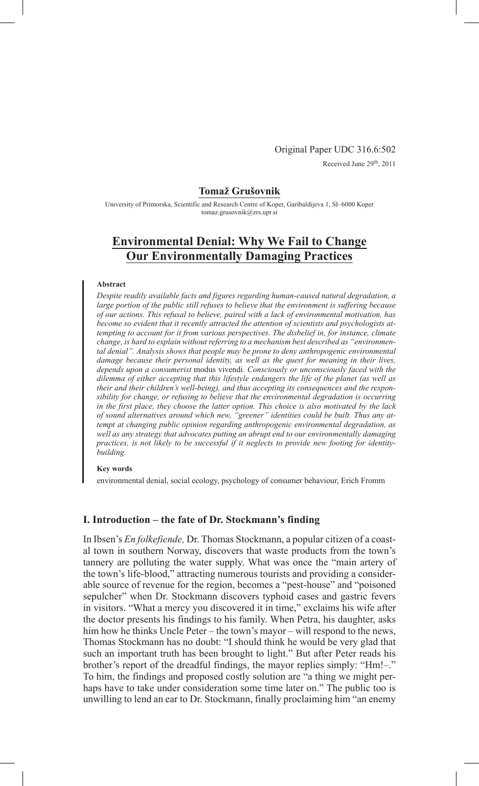Original Paper UDC 316.6:502 Received June 29<sup>th</sup>, 2011

#### **Tomaž Grušovnik**

University of Primorska, Scientific and Research Centre of Koper, Garibaldijeva 1, SI–6000 Koper tomaz.grusovnik@zrs.upr.si

# **Environmental Denial: Why We Fail to Change Our Environmentally Damaging Practices**

#### **Abstract**

*Despite readily available facts and figures regarding human-caused natural degradation, a large portion of the public still refuses to believe that the environment is suffering because of our actions. This refusal to believe, paired with a lack of environmental motivation, has become so evident that it recently attracted the attention of scientists and psychologists attempting to account for it from various perspectives. The disbelief in, for instance, climate change, is hard to explain without referring to a mechanism best described as "environmental denial". Analysis shows that people may be prone to deny anthropogenic environmental damage because their personal identity, as well as the quest for meaning in their lives, depends upon a consumerist* modus vivendi*. Consciously or unconsciously faced with the dilemma of either accepting that this lifestyle endangers the life of the planet (as well as their and their children's well-being), and thus accepting its consequences and the responsibility for change, or refusing to believe that the environmental degradation is occurring in the first place, they choose the latter option. This choice is also motivated by the lack of sound alternatives around which new, "greener" identities could be built. Thus any attempt at changing public opinion regarding anthropogenic environmental degradation, as well as any strategy that advocates putting an abrupt end to our environmentally damaging practices, is not likely to be successful if it neglects to provide new footing for identitybuilding.*

#### **Key words**

environmental denial, social ecology, psychology of consumer behaviour, Erich Fromm

## **I. Introduction – the fate of Dr. Stockmann's finding**

In Ibsen's *En folkefiende,* Dr. Thomas Stockmann, a popular citizen of a coastal town in southern Norway, discovers that waste products from the town's tannery are polluting the water supply. What was once the "main artery of the town's life-blood," attracting numerous tourists and providing a considerable source of revenue for the region, becomes a "pest-house" and "poisoned sepulcher" when Dr. Stockmann discovers typhoid cases and gastric fevers in visitors. "What a mercy you discovered it in time," exclaims his wife after the doctor presents his findings to his family. When Petra, his daughter, asks him how he thinks Uncle Peter – the town's mayor – will respond to the news, Thomas Stockmann has no doubt: "I should think he would be very glad that such an important truth has been brought to light." But after Peter reads his brother's report of the dreadful findings, the mayor replies simply: "Hm!–." To him, the findings and proposed costly solution are "a thing we might perhaps have to take under consideration some time later on." The public too is unwilling to lend an ear to Dr. Stockmann, finally proclaiming him "an enemy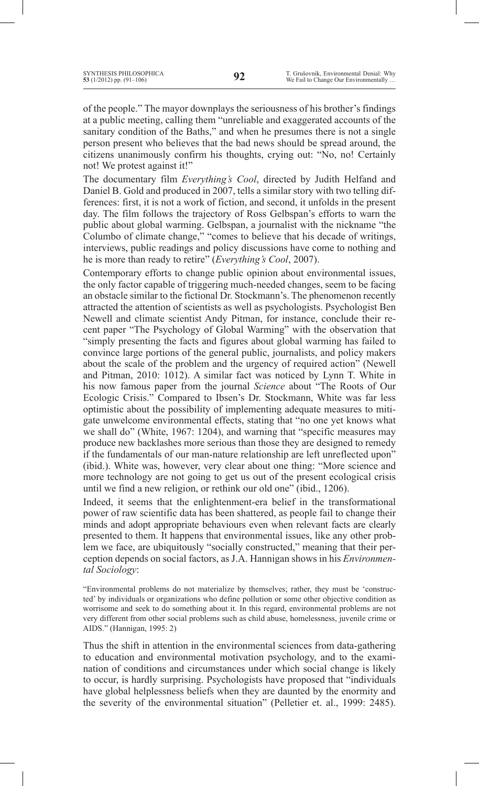of the people." The mayor downplays the seriousness of his brother's findings at a public meeting, calling them "unreliable and exaggerated accounts of the sanitary condition of the Baths," and when he presumes there is not a single person present who believes that the bad news should be spread around, the citizens unanimously confirm his thoughts, crying out: "No, no! Certainly not! We protest against it!"

The documentary film *Everything's Cool*, directed by Judith Helfand and Daniel B. Gold and produced in 2007, tells a similar story with two telling differences: first, it is not a work of fiction, and second, it unfolds in the present day. The film follows the trajectory of Ross Gelbspan's efforts to warn the public about global warming. Gelbspan, a journalist with the nickname "the Columbo of climate change," "comes to believe that his decade of writings, interviews, public readings and policy discussions have come to nothing and he is more than ready to retire" (*Everything's Cool*, 2007).

Contemporary efforts to change public opinion about environmental issues, the only factor capable of triggering much-needed changes, seem to be facing an obstacle similar to the fictional Dr. Stockmann's. The phenomenon recently attracted the attention of scientists as well as psychologists. Psychologist Ben Newell and climate scientist Andy Pitman, for instance, conclude their recent paper "The Psychology of Global Warming" with the observation that "simply presenting the facts and figures about global warming has failed to convince large portions of the general public, journalists, and policy makers about the scale of the problem and the urgency of required action" (Newell and Pitman, 2010: 1012). A similar fact was noticed by Lynn T. White in his now famous paper from the journal *Science* about "The Roots of Our Ecologic Crisis." Compared to Ibsen's Dr. Stockmann, White was far less optimistic about the possibility of implementing adequate measures to mitigate unwelcome environmental effects, stating that "no one yet knows what we shall do" (White, 1967: 1204), and warning that "specific measures may produce new backlashes more serious than those they are designed to remedy if the fundamentals of our man-nature relationship are left unreflected upon" (ibid.). White was, however, very clear about one thing: "More science and more technology are not going to get us out of the present ecological crisis until we find a new religion, or rethink our old one" (ibid., 1206).

Indeed, it seems that the enlightenment-era belief in the transformational power of raw scientific data has been shattered, as people fail to change their minds and adopt appropriate behaviours even when relevant facts are clearly presented to them. It happens that environmental issues, like any other problem we face, are ubiquitously "socially constructed," meaning that their perception depends on social factors, as J.A. Hannigan shows in his *Environmental Sociology*:

"Environmental problems do not materialize by themselves; rather, they must be 'constructed' by individuals or organizations who define pollution or some other objective condition as worrisome and seek to do something about it. In this regard, environmental problems are not very different from other social problems such as child abuse, homelessness, juvenile crime or AIDS." (Hannigan, 1995: 2)

Thus the shift in attention in the environmental sciences from data-gathering to education and environmental motivation psychology, and to the examination of conditions and circumstances under which social change is likely to occur, is hardly surprising. Psychologists have proposed that "individuals have global helplessness beliefs when they are daunted by the enormity and the severity of the environmental situation" (Pelletier et. al., 1999: 2485).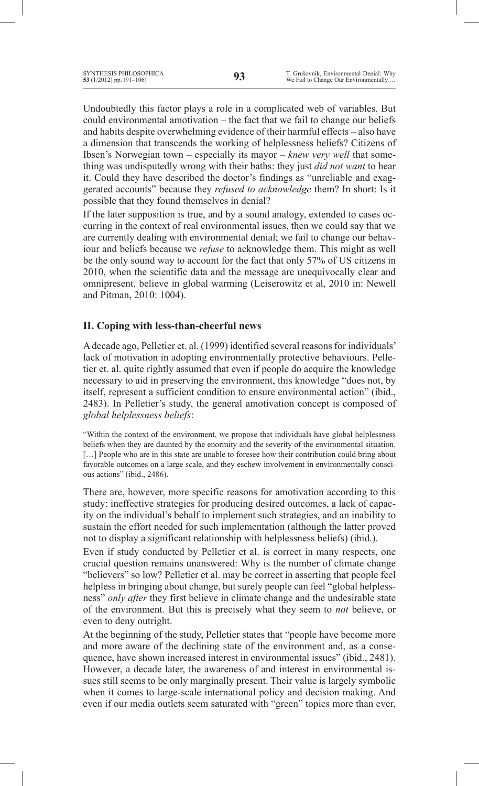Undoubtedly this factor plays a role in a complicated web of variables. But could environmental amotivation – the fact that we fail to change our beliefs and habits despite overwhelming evidence of their harmful effects – also have a dimension that transcends the working of helplessness beliefs? Citizens of Ibsen's Norwegian town – especially its mayor – *knew very well* that something was undisputedly wrong with their baths: they just *did not want* to hear it. Could they have described the doctor's findings as "unreliable and exaggerated accounts" because they *refused to acknowledge* them? In short: Is it possible that they found themselves in denial?

If the later supposition is true, and by a sound analogy, extended to cases occurring in the context of real environmental issues, then we could say that we are currently dealing with environmental denial; we fail to change our behaviour and beliefs because we *refuse* to acknowledge them. This might as well be the only sound way to account for the fact that only 57% of US citizens in 2010, when the scientific data and the message are unequivocally clear and omnipresent, believe in global warming (Leiserowitz et al, 2010 in: Newell and Pitman, 2010: 1004).

## **II. Coping with less-than-cheerful news**

Adecade ago, Pelletier et. al. (1999) identified several reasons for individuals' lack of motivation in adopting environmentally protective behaviours. Pelletier et. al. quite rightly assumed that even if people do acquire the knowledge necessary to aid in preserving the environment, this knowledge "does not, by itself, represent a sufficient condition to ensure environmental action" (ibid., 2483). In Pelletier's study, the general amotivation concept is composed of *global helplessness beliefs*:

"Within the context of the environment, we propose that individuals have global helplessness beliefs when they are daunted by the enormity and the severity of the environmental situation. [...] People who are in this state are unable to foresee how their contribution could bring about favorable outcomes on a large scale, and they eschew involvement in environmentally conscious actions" (ibid., 2486).

There are, however, more specific reasons for amotivation according to this study: ineffective strategies for producing desired outcomes, a lack of capacity on the individual's behalf to implement such strategies, and an inability to sustain the effort needed for such implementation (although the latter proved not to display a significant relationship with helplessness beliefs) (ibid.).

Even if study conducted by Pelletier et al. is correct in many respects, one crucial question remains unanswered: Why is the number of climate change "believers" so low? Pelletier et al. may be correct in asserting that people feel helpless in bringing about change, but surely people can feel "global helplessness" *only after* they first believe in climate change and the undesirable state of the environment. But this is precisely what they seem to *not* believe, or even to deny outright.

At the beginning of the study, Pelletier states that "people have become more and more aware of the declining state of the environment and, as a consequence, have shown increased interest in environmental issues" (ibid., 2481). However, a decade later, the awareness of and interest in environmental issues still seems to be only marginally present. Their value is largely symbolic when it comes to large-scale international policy and decision making. And even if our media outlets seem saturated with "green" topics more than ever,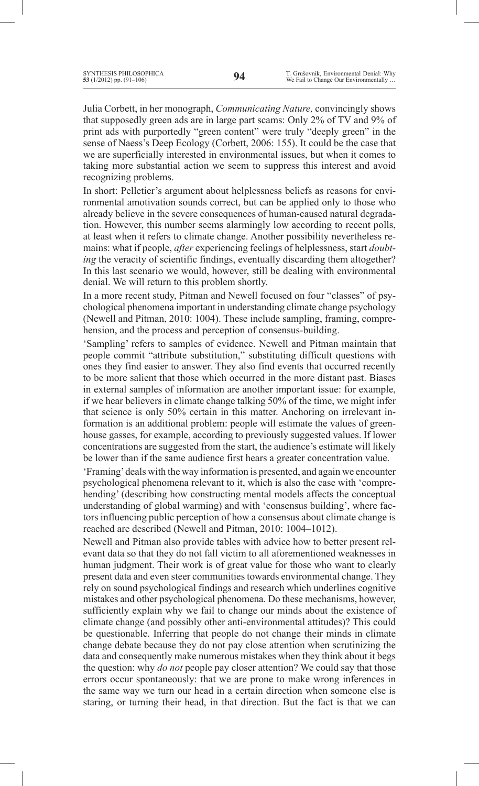Julia Corbett, in her monograph, *Communicating Nature,* convincingly shows that supposedly green ads are in large part scams: Only 2% of TV and 9% of print ads with purportedly "green content" were truly "deeply green" in the sense of Naess's Deep Ecology (Corbett, 2006: 155). It could be the case that we are superficially interested in environmental issues, but when it comes to taking more substantial action we seem to suppress this interest and avoid recognizing problems.

In short: Pelletier's argument about helplessness beliefs as reasons for environmental amotivation sounds correct, but can be applied only to those who already believe in the severe consequences of human-caused natural degradation. However, this number seems alarmingly low according to recent polls, at least when it refers to climate change. Another possibility nevertheless remains: what if people, *after* experiencing feelings of helplessness, start *doubting* the veracity of scientific findings, eventually discarding them altogether? In this last scenario we would, however, still be dealing with environmental denial. We will return to this problem shortly.

In a more recent study, Pitman and Newell focused on four "classes" of psychological phenomena important in understanding climate change psychology (Newell and Pitman, 2010: 1004). These include sampling, framing, comprehension, and the process and perception of consensus-building.

'Sampling' refers to samples of evidence. Newell and Pitman maintain that people commit "attribute substitution," substituting difficult questions with ones they find easier to answer. They also find events that occurred recently to be more salient that those which occurred in the more distant past. Biases in external samples of information are another important issue: for example, if we hear believers in climate change talking 50% of the time, we might infer that science is only 50% certain in this matter. Anchoring on irrelevant information is an additional problem: people will estimate the values of greenhouse gasses, for example, according to previously suggested values. If lower concentrations are suggested from the start, the audience's estimate will likely be lower than if the same audience first hears a greater concentration value.

'Framing'deals with the way information is presented, and again we encounter psychological phenomena relevant to it, which is also the case with 'comprehending' (describing how constructing mental models affects the conceptual understanding of global warming) and with 'consensus building', where factors influencing public perception of how a consensus about climate change is reached are described (Newell and Pitman, 2010: 1004–1012).

Newell and Pitman also provide tables with advice how to better present relevant data so that they do not fall victim to all aforementioned weaknesses in human judgment. Their work is of great value for those who want to clearly present data and even steer communities towards environmental change. They rely on sound psychological findings and research which underlines cognitive mistakes and other psychological phenomena. Do these mechanisms, however, sufficiently explain why we fail to change our minds about the existence of climate change (and possibly other anti-environmental attitudes)? This could be questionable. Inferring that people do not change their minds in climate change debate because they do not pay close attention when scrutinizing the data and consequently make numerous mistakes when they think about it begs the question: why *do not* people pay closer attention? We could say that those errors occur spontaneously: that we are prone to make wrong inferences in the same way we turn our head in a certain direction when someone else is staring, or turning their head, in that direction. But the fact is that we can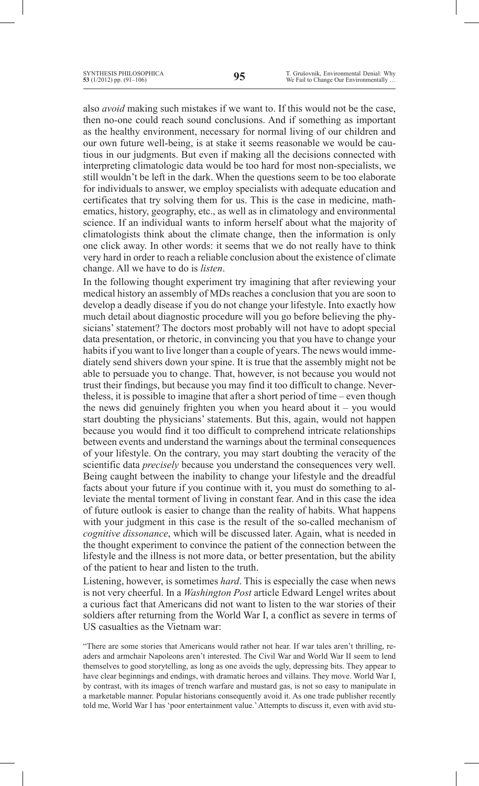also *avoid* making such mistakes if we want to. If this would not be the case, then no-one could reach sound conclusions. And if something as important as the healthy environment, necessary for normal living of our children and our own future well-being, is at stake it seems reasonable we would be cautious in our judgments. But even if making all the decisions connected with interpreting climatologic data would be too hard for most non-specialists, we still wouldn't be left in the dark. When the questions seem to be too elaborate for individuals to answer, we employ specialists with adequate education and certificates that try solving them for us. This is the case in medicine, mathematics, history, geography, etc., as well as in climatology and environmental science. If an individual wants to inform herself about what the majority of climatologists think about the climate change, then the information is only one click away. In other words: it seems that we do not really have to think very hard in order to reach a reliable conclusion about the existence of climate change. All we have to do is *listen*.

In the following thought experiment try imagining that after reviewing your medical history an assembly of MDs reaches a conclusion that you are soon to develop a deadly disease if you do not change your lifestyle. Into exactly how much detail about diagnostic procedure will you go before believing the physicians' statement? The doctors most probably will not have to adopt special data presentation, or rhetoric, in convincing you that you have to change your habits if you want to live longer than a couple of years. The news would immediately send shivers down your spine. It is true that the assembly might not be able to persuade you to change. That, however, is not because you would not trust their findings, but because you may find it too difficult to change. Nevertheless, it is possible to imagine that after a short period of time – even though the news did genuinely frighten you when you heard about it – you would start doubting the physicians' statements. But this, again, would not happen because you would find it too difficult to comprehend intricate relationships between events and understand the warnings about the terminal consequences of your lifestyle. On the contrary, you may start doubting the veracity of the scientific data *precisely* because you understand the consequences very well. Being caught between the inability to change your lifestyle and the dreadful facts about your future if you continue with it, you must do something to alleviate the mental torment of living in constant fear. And in this case the idea of future outlook is easier to change than the reality of habits. What happens with your judgment in this case is the result of the so-called mechanism of *cognitive dissonance*, which will be discussed later. Again, what is needed in the thought experiment to convince the patient of the connection between the lifestyle and the illness is not more data, or better presentation, but the ability of the patient to hear and listen to the truth.

Listening, however, is sometimes *hard*. This is especially the case when news is not very cheerful. In a *Washington Post* article Edward Lengel writes about a curious fact that Americans did not want to listen to the war stories of their soldiers after returning from the World War I, a conflict as severe in terms of US casualties as the Vietnam war:

"There are some stories that Americans would rather not hear. If war tales aren't thrilling, readers and armchair Napoleons aren't interested. The Civil War and World War II seem to lend themselves to good storytelling, as long as one avoids the ugly, depressing bits. They appear to have clear beginnings and endings, with dramatic heroes and villains. They move. World War I, by contrast, with its images of trench warfare and mustard gas, is not so easy to manipulate in a marketable manner. Popular historians consequently avoid it. As one trade publisher recently told me, World War I has 'poor entertainment value.'Attempts to discuss it, even with avid stu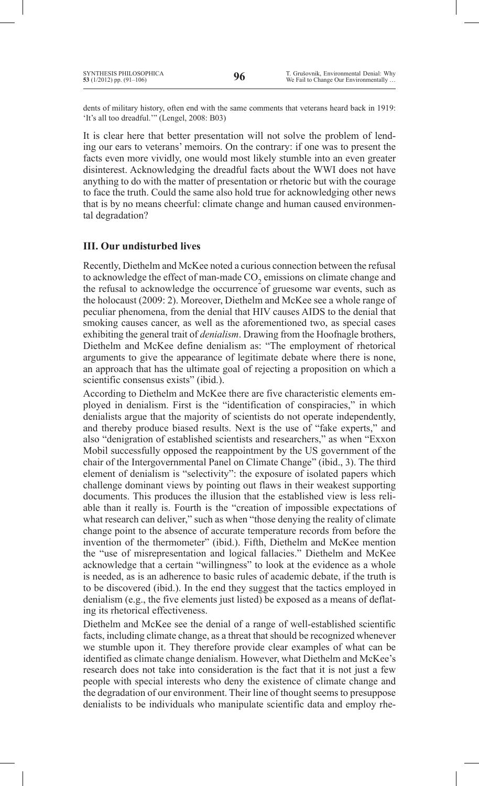dents of military history, often end with the same comments that veterans heard back in 1919: 'It's all too dreadful.'" (Lengel, 2008: B03)

It is clear here that better presentation will not solve the problem of lending our ears to veterans' memoirs. On the contrary: if one was to present the facts even more vividly, one would most likely stumble into an even greater disinterest. Acknowledging the dreadful facts about the WWI does not have anything to do with the matter of presentation or rhetoric but with the courage to face the truth. Could the same also hold true for acknowledging other news that is by no means cheerful: climate change and human caused environmental degradation?

## **III. Our undisturbed lives**

Recently, Diethelm and McKee noted a curious connection between the refusal to acknowledge the effect of man-made  $CO<sub>2</sub>$  emissions on climate change and the refusal to acknowledge the occurrence of gruesome war events, such as the holocaust (2009: 2). Moreover, Diethelm and McKee see a whole range of peculiar phenomena, from the denial that HIV causes AIDS to the denial that smoking causes cancer, as well as the aforementioned two, as special cases exhibiting the general trait of *denialism*. Drawing from the Hoofnagle brothers, Diethelm and McKee define denialism as: "The employment of rhetorical arguments to give the appearance of legitimate debate where there is none, an approach that has the ultimate goal of rejecting a proposition on which a scientific consensus exists" (ibid.).

According to Diethelm and McKee there are five characteristic elements employed in denialism. First is the "identification of conspiracies," in which denialists argue that the majority of scientists do not operate independently, and thereby produce biased results. Next is the use of "fake experts," and also "denigration of established scientists and researchers," as when "Exxon Mobil successfully opposed the reappointment by the US government of the chair of the Intergovernmental Panel on Climate Change" (ibid., 3). The third element of denialism is "selectivity": the exposure of isolated papers which challenge dominant views by pointing out flaws in their weakest supporting documents. This produces the illusion that the established view is less reliable than it really is. Fourth is the "creation of impossible expectations of what research can deliver," such as when "those denying the reality of climate change point to the absence of accurate temperature records from before the invention of the thermometer" (ibid.). Fifth, Diethelm and McKee mention the "use of misrepresentation and logical fallacies." Diethelm and McKee acknowledge that a certain "willingness" to look at the evidence as a whole is needed, as is an adherence to basic rules of academic debate, if the truth is to be discovered (ibid.). In the end they suggest that the tactics employed in denialism (e.g., the five elements just listed) be exposed as a means of deflating its rhetorical effectiveness.

Diethelm and McKee see the denial of a range of well-established scientific facts, including climate change, as a threat that should be recognized whenever we stumble upon it. They therefore provide clear examples of what can be identified as climate change denialism. However, what Diethelm and McKee's research does not take into consideration is the fact that it is not just a few people with special interests who deny the existence of climate change and the degradation of our environment. Their line of thought seems to presuppose denialists to be individuals who manipulate scientific data and employ rhe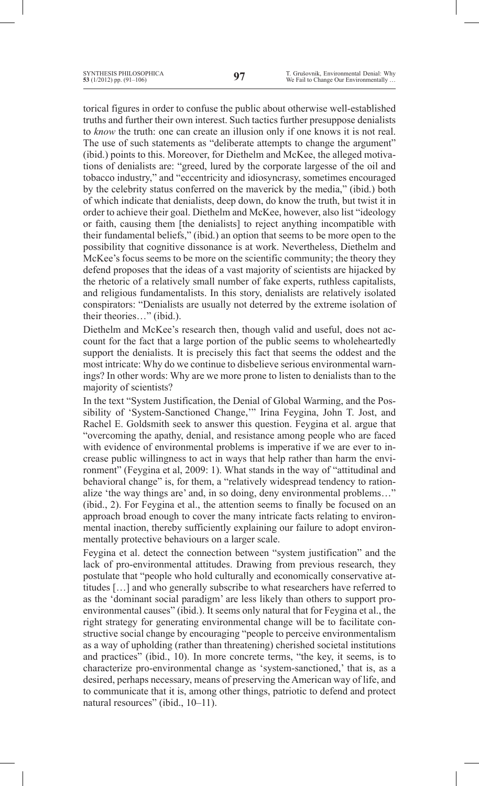torical figures in order to confuse the public about otherwise well-established truths and further their own interest. Such tactics further presuppose denialists to *know* the truth: one can create an illusion only if one knows it is not real. The use of such statements as "deliberate attempts to change the argument" (ibid.) points to this. Moreover, for Diethelm and McKee, the alleged motivations of denialists are: "greed, lured by the corporate largesse of the oil and tobacco industry," and "eccentricity and idiosyncrasy, sometimes encouraged by the celebrity status conferred on the maverick by the media," (ibid.) both of which indicate that denialists, deep down, do know the truth, but twist it in order to achieve their goal. Diethelm and McKee, however, also list "ideology or faith, causing them [the denialists] to reject anything incompatible with their fundamental beliefs," (ibid.) an option that seems to be more open to the possibility that cognitive dissonance is at work. Nevertheless, Diethelm and McKee's focus seems to be more on the scientific community; the theory they defend proposes that the ideas of a vast majority of scientists are hijacked by the rhetoric of a relatively small number of fake experts, ruthless capitalists, and religious fundamentalists. In this story, denialists are relatively isolated conspirators: "Denialists are usually not deterred by the extreme isolation of their theories…" (ibid.).

Diethelm and McKee's research then, though valid and useful, does not account for the fact that a large portion of the public seems to wholeheartedly support the denialists. It is precisely this fact that seems the oddest and the most intricate: Why do we continue to disbelieve serious environmental warnings? In other words: Why are we more prone to listen to denialists than to the majority of scientists?

In the text "System Justification, the Denial of Global Warming, and the Possibility of 'System-Sanctioned Change,'" Irina Feygina, John T. Jost, and Rachel E. Goldsmith seek to answer this question. Feygina et al. argue that "overcoming the apathy, denial, and resistance among people who are faced with evidence of environmental problems is imperative if we are ever to increase public willingness to act in ways that help rather than harm the environment" (Feygina et al, 2009: 1). What stands in the way of "attitudinal and behavioral change" is, for them, a "relatively widespread tendency to rationalize 'the way things are' and, in so doing, deny environmental problems…" (ibid., 2). For Feygina et al., the attention seems to finally be focused on an approach broad enough to cover the many intricate facts relating to environmental inaction, thereby sufficiently explaining our failure to adopt environmentally protective behaviours on a larger scale.

Feygina et al. detect the connection between "system justification" and the lack of pro-environmental attitudes. Drawing from previous research, they postulate that "people who hold culturally and economically conservative attitudes […] and who generally subscribe to what researchers have referred to as the 'dominant social paradigm' are less likely than others to support proenvironmental causes" (ibid.). It seems only natural that for Feygina et al., the right strategy for generating environmental change will be to facilitate constructive social change by encouraging "people to perceive environmentalism as a way of upholding (rather than threatening) cherished societal institutions and practices" (ibid., 10). In more concrete terms, "the key, it seems, is to characterize pro-environmental change as 'system-sanctioned,' that is, as a desired, perhaps necessary, means of preserving the American way of life, and to communicate that it is, among other things, patriotic to defend and protect natural resources" (ibid., 10–11).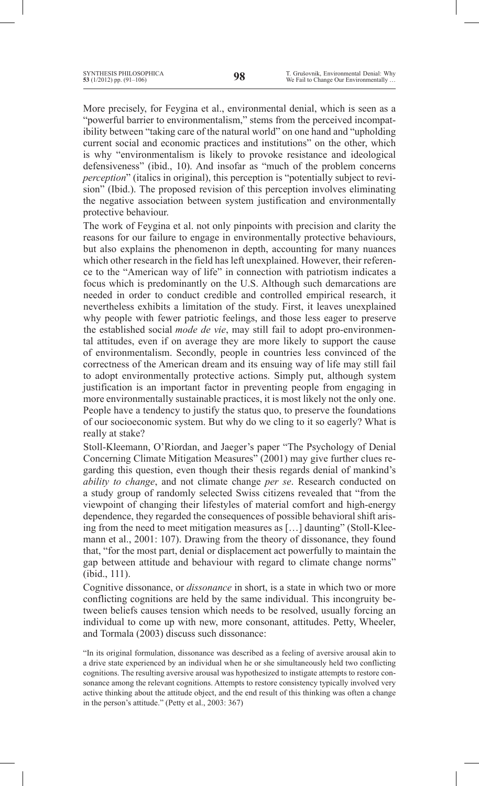More precisely, for Feygina et al., environmental denial, which is seen as a "powerful barrier to environmentalism," stems from the perceived incompatibility between "taking care of the natural world" on one hand and "upholding current social and economic practices and institutions" on the other, which is why "environmentalism is likely to provoke resistance and ideological defensiveness" (ibid., 10). And insofar as "much of the problem concerns *perception*" (italics in original), this perception is "potentially subject to revision" (Ibid.). The proposed revision of this perception involves eliminating the negative association between system justification and environmentally protective behaviour.

The work of Feygina et al. not only pinpoints with precision and clarity the reasons for our failure to engage in environmentally protective behaviours, but also explains the phenomenon in depth, accounting for many nuances which other research in the field has left unexplained. However, their reference to the "American way of life" in connection with patriotism indicates a focus which is predominantly on the U.S. Although such demarcations are needed in order to conduct credible and controlled empirical research, it nevertheless exhibits a limitation of the study. First, it leaves unexplained why people with fewer patriotic feelings, and those less eager to preserve the established social *mode de vie*, may still fail to adopt pro-environmental attitudes, even if on average they are more likely to support the cause of environmentalism. Secondly, people in countries less convinced of the correctness of the American dream and its ensuing way of life may still fail to adopt environmentally protective actions. Simply put, although system justification is an important factor in preventing people from engaging in more environmentally sustainable practices, it is most likely not the only one. People have a tendency to justify the status quo, to preserve the foundations of our socioeconomic system. But why do we cling to it so eagerly? What is really at stake?

Stoll-Kleemann, O'Riordan, and Jaeger's paper "The Psychology of Denial Concerning Climate Mitigation Measures" (2001) may give further clues regarding this question, even though their thesis regards denial of mankind's *ability to change*, and not climate change *per se*. Research conducted on a study group of randomly selected Swiss citizens revealed that "from the viewpoint of changing their lifestyles of material comfort and high-energy dependence, they regarded the consequences of possible behavioral shift arising from the need to meet mitigation measures as […] daunting" (Stoll-Kleemann et al., 2001: 107). Drawing from the theory of dissonance, they found that, "for the most part, denial or displacement act powerfully to maintain the gap between attitude and behaviour with regard to climate change norms" (ibid., 111).

Cognitive dissonance, or *dissonance* in short, is a state in which two or more conflicting cognitions are held by the same individual. This incongruity between beliefs causes tension which needs to be resolved, usually forcing an individual to come up with new, more consonant, attitudes. Petty, Wheeler, and Tormala (2003) discuss such dissonance:

"In its original formulation, dissonance was described as a feeling of aversive arousal akin to a drive state experienced by an individual when he or she simultaneously held two conflicting cognitions. The resulting aversive arousal was hypothesized to instigate attempts to restore consonance among the relevant cognitions. Attempts to restore consistency typically involved very active thinking about the attitude object, and the end result of this thinking was often a change in the person's attitude." (Petty et al., 2003: 367)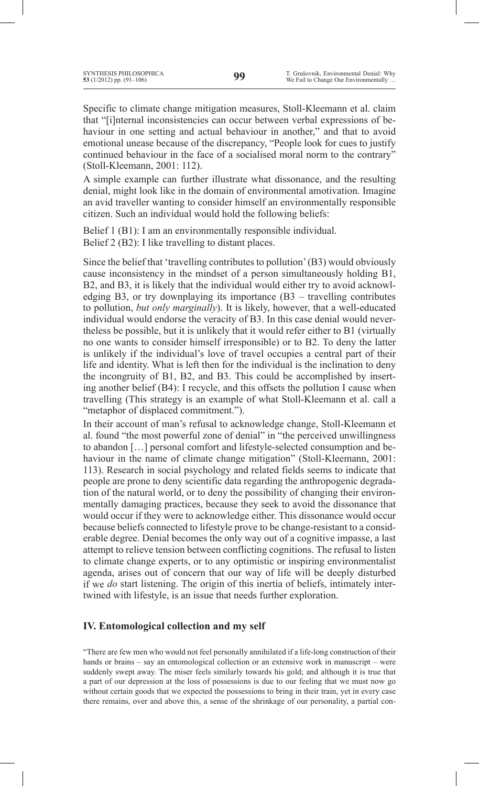Specific to climate change mitigation measures, Stoll-Kleemann et al. claim that "[i]nternal inconsistencies can occur between verbal expressions of behaviour in one setting and actual behaviour in another," and that to avoid emotional unease because of the discrepancy, "People look for cues to justify continued behaviour in the face of a socialised moral norm to the contrary" (Stoll-Kleemann, 2001: 112).

A simple example can further illustrate what dissonance, and the resulting denial, might look like in the domain of environmental amotivation. Imagine an avid traveller wanting to consider himself an environmentally responsible citizen. Such an individual would hold the following beliefs:

Belief 1 (B1): I am an environmentally responsible individual. Belief 2 (B2): I like travelling to distant places.

Since the belief that 'travelling contributes to pollution'(B3) would obviously cause inconsistency in the mindset of a person simultaneously holding B1, B2, and B3, it is likely that the individual would either try to avoid acknowledging B3, or try downplaying its importance (B3 – travelling contributes to pollution, *but only marginally*). It is likely, however, that a well-educated individual would endorse the veracity of B3. In this case denial would nevertheless be possible, but it is unlikely that it would refer either to B1 (virtually no one wants to consider himself irresponsible) or to B2. To deny the latter is unlikely if the individual's love of travel occupies a central part of their life and identity. What is left then for the individual is the inclination to deny the incongruity of B1, B2, and B3. This could be accomplished by inserting another belief (B4): I recycle, and this offsets the pollution I cause when travelling (This strategy is an example of what Stoll-Kleemann et al. call a "metaphor of displaced commitment.").

In their account of man's refusal to acknowledge change, Stoll-Kleemann et al. found "the most powerful zone of denial" in "the perceived unwillingness to abandon […] personal comfort and lifestyle-selected consumption and behaviour in the name of climate change mitigation" (Stoll-Kleemann, 2001: 113). Research in social psychology and related fields seems to indicate that people are prone to deny scientific data regarding the anthropogenic degradation of the natural world, or to deny the possibility of changing their environmentally damaging practices, because they seek to avoid the dissonance that would occur if they were to acknowledge either. This dissonance would occur because beliefs connected to lifestyle prove to be change-resistant to a considerable degree. Denial becomes the only way out of a cognitive impasse, a last attempt to relieve tension between conflicting cognitions. The refusal to listen to climate change experts, or to any optimistic or inspiring environmentalist agenda, arises out of concern that our way of life will be deeply disturbed if we *do* start listening. The origin of this inertia of beliefs, intimately intertwined with lifestyle, is an issue that needs further exploration.

### **IV. Entomological collection and my self**

"There are few men who would not feel personally annihilated if a life-long construction of their hands or brains – say an entomological collection or an extensive work in manuscript – were suddenly swept away. The miser feels similarly towards his gold; and although it is true that a part of our depression at the loss of possessions is due to our feeling that we must now go without certain goods that we expected the possessions to bring in their train, yet in every case there remains, over and above this, a sense of the shrinkage of our personality, a partial con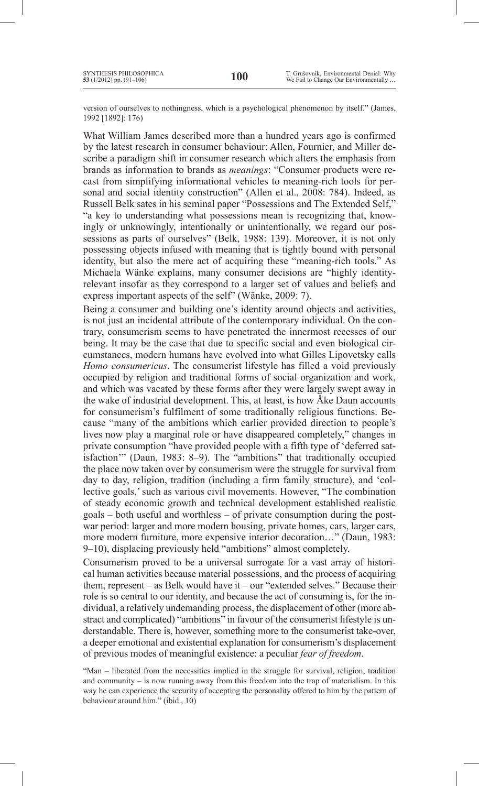version of ourselves to nothingness, which is a psychological phenomenon by itself." (James, 1992 [1892]: 176)

What William James described more than a hundred years ago is confirmed by the latest research in consumer behaviour: Allen, Fournier, and Miller describe a paradigm shift in consumer research which alters the emphasis from brands as information to brands as *meanings*: "Consumer products were recast from simplifying informational vehicles to meaning-rich tools for personal and social identity construction" (Allen et al., 2008: 784). Indeed, as Russell Belk sates in his seminal paper "Possessions and The Extended Self," "a key to understanding what possessions mean is recognizing that, knowingly or unknowingly, intentionally or unintentionally, we regard our possessions as parts of ourselves" (Belk, 1988: 139). Moreover, it is not only possessing objects infused with meaning that is tightly bound with personal identity, but also the mere act of acquiring these "meaning-rich tools." As Michaela Wänke explains, many consumer decisions are "highly identityrelevant insofar as they correspond to a larger set of values and beliefs and express important aspects of the self" (Wänke, 2009: 7).

Being a consumer and building one's identity around objects and activities, is not just an incidental attribute of the contemporary individual. On the contrary, consumerism seems to have penetrated the innermost recesses of our being. It may be the case that due to specific social and even biological circumstances, modern humans have evolved into what Gilles Lipovetsky calls *Homo consumericus*. The consumerist lifestyle has filled a void previously occupied by religion and traditional forms of social organization and work, and which was vacated by these forms after they were largely swept away in the wake of industrial development. This, at least, is how Åke Daun accounts for consumerism's fulfilment of some traditionally religious functions. Because "many of the ambitions which earlier provided direction to people's lives now play a marginal role or have disappeared completely," changes in private consumption "have provided people with a fifth type of 'deferred satisfaction'" (Daun, 1983: 8–9). The "ambitions" that traditionally occupied the place now taken over by consumerism were the struggle for survival from day to day, religion, tradition (including a firm family structure), and 'collective goals,'such as various civil movements. However, "The combination of steady economic growth and technical development established realistic goals – both useful and worthless – of private consumption during the postwar period: larger and more modern housing, private homes, cars, larger cars, more modern furniture, more expensive interior decoration…" (Daun, 1983: 9–10), displacing previously held "ambitions" almost completely.

Consumerism proved to be a universal surrogate for a vast array of historical human activities because material possessions, and the process of acquiring them, represent – as Belk would have it – our "extended selves." Because their role is so central to our identity, and because the act of consuming is, for the individual, a relatively undemanding process, the displacement of other (more abstract and complicated) "ambitions" in favour of the consumerist lifestyle is understandable. There is, however, something more to the consumerist take-over, a deeper emotional and existential explanation for consumerism's displacement of previous modes of meaningful existence: a peculiar *fear of freedom*.

"Man – liberated from the necessities implied in the struggle for survival, religion, tradition and community – is now running away from this freedom into the trap of materialism. In this way he can experience the security of accepting the personality offered to him by the pattern of behaviour around him." (ibid., 10)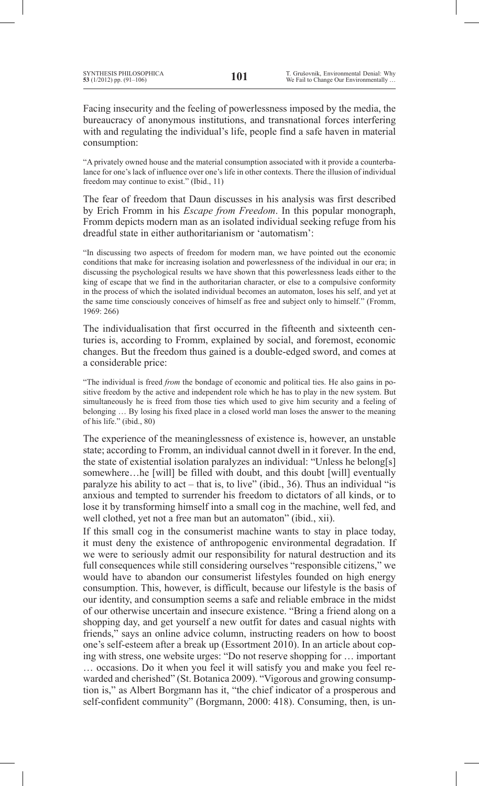Facing insecurity and the feeling of powerlessness imposed by the media, the bureaucracy of anonymous institutions, and transnational forces interfering with and regulating the individual's life, people find a safe haven in material consumption:

"A privately owned house and the material consumption associated with it provide a counterbalance for one's lack of influence over one's life in other contexts. There the illusion of individual freedom may continue to exist." (Ibid., 11)

The fear of freedom that Daun discusses in his analysis was first described by Erich Fromm in his *Escape from Freedom*. In this popular monograph, Fromm depicts modern man as an isolated individual seeking refuge from his dreadful state in either authoritarianism or 'automatism':

"In discussing two aspects of freedom for modern man, we have pointed out the economic conditions that make for increasing isolation and powerlessness of the individual in our era; in discussing the psychological results we have shown that this powerlessness leads either to the king of escape that we find in the authoritarian character, or else to a compulsive conformity in the process of which the isolated individual becomes an automaton, loses his self, and yet at the same time consciously conceives of himself as free and subject only to himself." (Fromm, 1969: 266)

The individualisation that first occurred in the fifteenth and sixteenth centuries is, according to Fromm, explained by social, and foremost, economic changes. But the freedom thus gained is a double-edged sword, and comes at a considerable price:

"The individual is freed *from* the bondage of economic and political ties. He also gains in positive freedom by the active and independent role which he has to play in the new system. But simultaneously he is freed from those ties which used to give him security and a feeling of belonging … By losing his fixed place in a closed world man loses the answer to the meaning of his life." (ibid., 80)

The experience of the meaninglessness of existence is, however, an unstable state; according to Fromm, an individual cannot dwell in it forever. In the end, the state of existential isolation paralyzes an individual: "Unless he belong[s] somewhere...he [will] be filled with doubt, and this doubt [will] eventually paralyze his ability to act – that is, to live" (ibid., 36). Thus an individual "is anxious and tempted to surrender his freedom to dictators of all kinds, or to lose it by transforming himself into a small cog in the machine, well fed, and well clothed, yet not a free man but an automaton" (ibid., xii).

If this small cog in the consumerist machine wants to stay in place today, it must deny the existence of anthropogenic environmental degradation. If we were to seriously admit our responsibility for natural destruction and its full consequences while still considering ourselves "responsible citizens," we would have to abandon our consumerist lifestyles founded on high energy consumption. This, however, is difficult, because our lifestyle is the basis of our identity, and consumption seems a safe and reliable embrace in the midst of our otherwise uncertain and insecure existence. "Bring a friend along on a shopping day, and get yourself a new outfit for dates and casual nights with friends," says an online advice column, instructing readers on how to boost one's self-esteem after a break up (Essortment 2010). In an article about coping with stress, one website urges: "Do not reserve shopping for … important … occasions. Do it when you feel it will satisfy you and make you feel rewarded and cherished" (St. Botanica 2009). "Vigorous and growing consumption is," as Albert Borgmann has it, "the chief indicator of a prosperous and self-confident community" (Borgmann, 2000: 418). Consuming, then, is un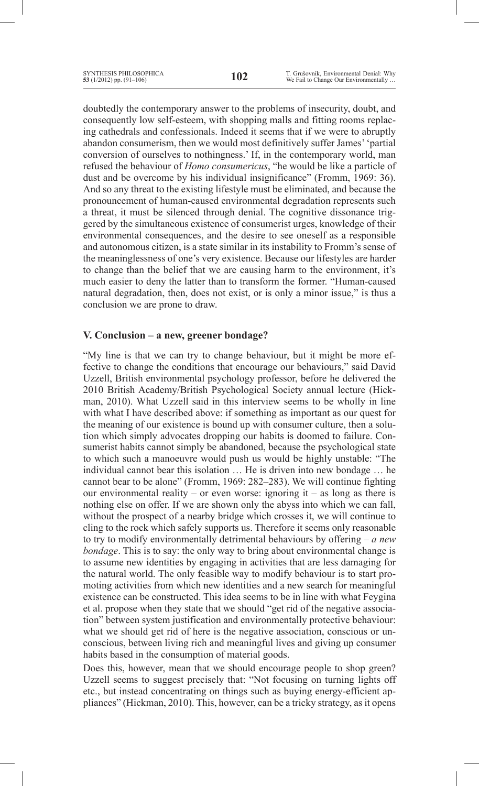doubtedly the contemporary answer to the problems of insecurity, doubt, and consequently low self-esteem, with shopping malls and fitting rooms replacing cathedrals and confessionals. Indeed it seems that if we were to abruptly abandon consumerism, then we would most definitively suffer James''partial conversion of ourselves to nothingness.' If, in the contemporary world, man refused the behaviour of *Homo consumericus*, "he would be like a particle of dust and be overcome by his individual insignificance" (Fromm, 1969: 36). And so any threat to the existing lifestyle must be eliminated, and because the pronouncement of human-caused environmental degradation represents such a threat, it must be silenced through denial. The cognitive dissonance triggered by the simultaneous existence of consumerist urges, knowledge of their environmental consequences, and the desire to see oneself as a responsible and autonomous citizen, is a state similar in its instability to Fromm's sense of the meaninglessness of one's very existence. Because our lifestyles are harder to change than the belief that we are causing harm to the environment, it's much easier to deny the latter than to transform the former. "Human-caused natural degradation, then, does not exist, or is only a minor issue," is thus a conclusion we are prone to draw.

## **V. Conclusion – a new, greener bondage?**

"My line is that we can try to change behaviour, but it might be more effective to change the conditions that encourage our behaviours," said David Uzzell, British environmental psychology professor, before he delivered the 2010 British Academy/British Psychological Society annual lecture (Hickman, 2010). What Uzzell said in this interview seems to be wholly in line with what I have described above: if something as important as our quest for the meaning of our existence is bound up with consumer culture, then a solution which simply advocates dropping our habits is doomed to failure. Consumerist habits cannot simply be abandoned, because the psychological state to which such a manoeuvre would push us would be highly unstable: "The individual cannot bear this isolation … He is driven into new bondage … he cannot bear to be alone" (Fromm, 1969: 282–283). We will continue fighting our environmental reality – or even worse: ignoring it – as long as there is nothing else on offer. If we are shown only the abyss into which we can fall, without the prospect of a nearby bridge which crosses it, we will continue to cling to the rock which safely supports us. Therefore it seems only reasonable to try to modify environmentally detrimental behaviours by offering – *a new bondage*. This is to say: the only way to bring about environmental change is to assume new identities by engaging in activities that are less damaging for the natural world. The only feasible way to modify behaviour is to start promoting activities from which new identities and a new search for meaningful existence can be constructed. This idea seems to be in line with what Feygina et al. propose when they state that we should "get rid of the negative association" between system justification and environmentally protective behaviour: what we should get rid of here is the negative association, conscious or unconscious, between living rich and meaningful lives and giving up consumer habits based in the consumption of material goods.

Does this, however, mean that we should encourage people to shop green? Uzzell seems to suggest precisely that: "Not focusing on turning lights off etc., but instead concentrating on things such as buying energy-efficient appliances" (Hickman, 2010). This, however, can be a tricky strategy, as it opens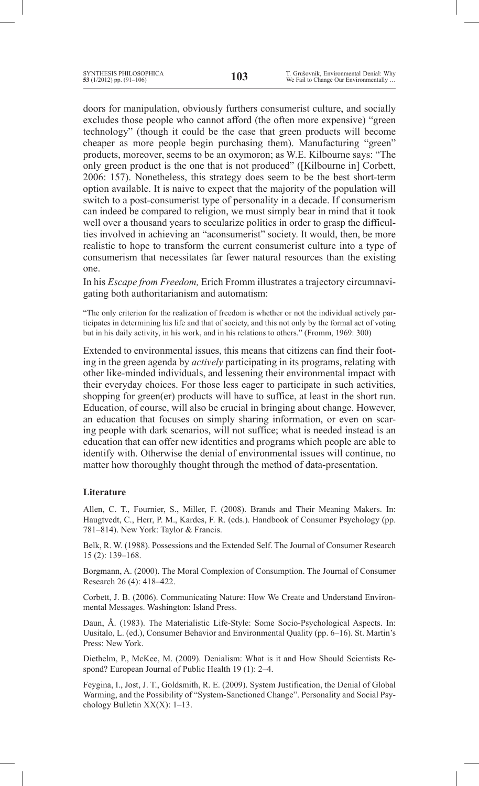doors for manipulation, obviously furthers consumerist culture, and socially excludes those people who cannot afford (the often more expensive) "green technology" (though it could be the case that green products will become cheaper as more people begin purchasing them). Manufacturing "green" products, moreover, seems to be an oxymoron; as W.E. Kilbourne says: "The only green product is the one that is not produced" ([Kilbourne in] Corbett, 2006: 157). Nonetheless, this strategy does seem to be the best short-term option available. It is naive to expect that the majority of the population will switch to a post-consumerist type of personality in a decade. If consumerism can indeed be compared to religion, we must simply bear in mind that it took well over a thousand years to secularize politics in order to grasp the difficulties involved in achieving an "aconsumerist" society. It would, then, be more realistic to hope to transform the current consumerist culture into a type of consumerism that necessitates far fewer natural resources than the existing one.

In his *Escape from Freedom,* Erich Fromm illustrates a trajectory circumnavigating both authoritarianism and automatism:

"The only criterion for the realization of freedom is whether or not the individual actively participates in determining his life and that of society, and this not only by the formal act of voting but in his daily activity, in his work, and in his relations to others." (Fromm, 1969: 300)

Extended to environmental issues, this means that citizens can find their footing in the green agenda by *actively* participating in its programs, relating with other like-minded individuals, and lessening their environmental impact with their everyday choices. For those less eager to participate in such activities, shopping for green(er) products will have to suffice, at least in the short run. Education, of course, will also be crucial in bringing about change. However, an education that focuses on simply sharing information, or even on scaring people with dark scenarios, will not suffice; what is needed instead is an education that can offer new identities and programs which people are able to identify with. Otherwise the denial of environmental issues will continue, no matter how thoroughly thought through the method of data-presentation.

### **Literature**

Allen, C. T., Fournier, S., Miller, F. (2008). Brands and Their Meaning Makers. In: Haugtvedt, C., Herr, P. M., Kardes, F. R. (eds.). Handbook of Consumer Psychology (pp. 781–814). New York: Taylor & Francis.

Belk, R. W. (1988). Possessions and the Extended Self. The Journal of Consumer Research 15 (2): 139–168.

Borgmann, A. (2000). The Moral Complexion of Consumption. The Journal of Consumer Research 26 (4): 418–422.

Corbett, J. B. (2006). Communicating Nature: How We Create and Understand Environmental Messages. Washington: Island Press.

Daun, Å. (1983). The Materialistic Life-Style: Some Socio-Psychological Aspects. In: Uusitalo, L. (ed.), Consumer Behavior and Environmental Quality (pp. 6–16). St. Martin's Press: New York.

Diethelm, P., McKee, M. (2009). Denialism: What is it and How Should Scientists Respond? European Journal of Public Health 19 (1): 2–4.

Feygina, I., Jost, J. T., Goldsmith, R. E. (2009). System Justification, the Denial of Global Warming, and the Possibility of "System-Sanctioned Change". Personality and Social Psychology Bulletin XX(X): 1–13.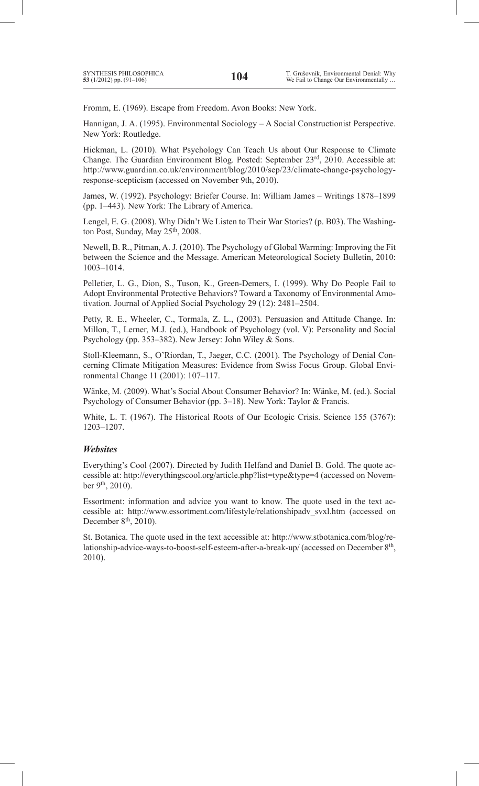Fromm, E. (1969). Escape from Freedom. Avon Books: New York.

Hannigan, J. A. (1995). Environmental Sociology – A Social Constructionist Perspective. New York: Routledge.

Hickman, L. (2010). What Psychology Can Teach Us about Our Response to Climate Change. The Guardian Environment Blog. Posted: September 23rd, 2010. Accessible at: http://www.guardian.co.uk/environment/blog/2010/sep/23/climate-change-psychologyresponse-scepticism (accessed on November 9th, 2010).

James, W. (1992). Psychology: Briefer Course. In: William James – Writings 1878–1899 (pp. 1–443). New York: The Library of America.

Lengel, E. G. (2008). Why Didn't We Listen to Their War Stories? (p. B03). The Washington Post, Sunday, May 25<sup>th</sup>, 2008.

Newell, B. R., Pitman, A. J. (2010). The Psychology of Global Warming: Improving the Fit between the Science and the Message. American Meteorological Society Bulletin, 2010: 1003–1014.

Pelletier, L. G., Dion, S., Tuson, K., Green-Demers, I. (1999). Why Do People Fail to Adopt Environmental Protective Behaviors? Toward a Taxonomy of Environmental Amotivation. Journal of Applied Social Psychology 29 (12): 2481–2504.

Petty, R. E., Wheeler, C., Tormala, Z. L., (2003). Persuasion and Attitude Change. In: Millon, T., Lerner, M.J. (ed.), Handbook of Psychology (vol. V): Personality and Social Psychology (pp. 353–382). New Jersey: John Wiley & Sons.

Stoll-Kleemann, S., O'Riordan, T., Jaeger, C.C. (2001). The Psychology of Denial Concerning Climate Mitigation Measures: Evidence from Swiss Focus Group. Global Environmental Change 11 (2001): 107–117.

Wänke, M. (2009). What's Social About Consumer Behavior? In: Wänke, M. (ed.). Social Psychology of Consumer Behavior (pp. 3–18). New York: Taylor & Francis.

White, L. T. (1967). The Historical Roots of Our Ecologic Crisis. Science 155 (3767): 1203–1207.

### *Websites*

Everything's Cool (2007). Directed by Judith Helfand and Daniel B. Gold. The quote accessible at: http://everythingscool.org/article.php?list=type&type=4 (accessed on November 9<sup>th</sup>, 2010).

Essortment: information and advice you want to know. The quote used in the text accessible at: http://www.essortment.com/lifestyle/relationshipadv\_svxl.htm (accessed on December  $8<sup>th</sup>$ , 2010).

St. Botanica. The quote used in the text accessible at: http://www.stbotanica.com/blog/relationship-advice-ways-to-boost-self-esteem-after-a-break-up/ (accessed on December 8th, 2010).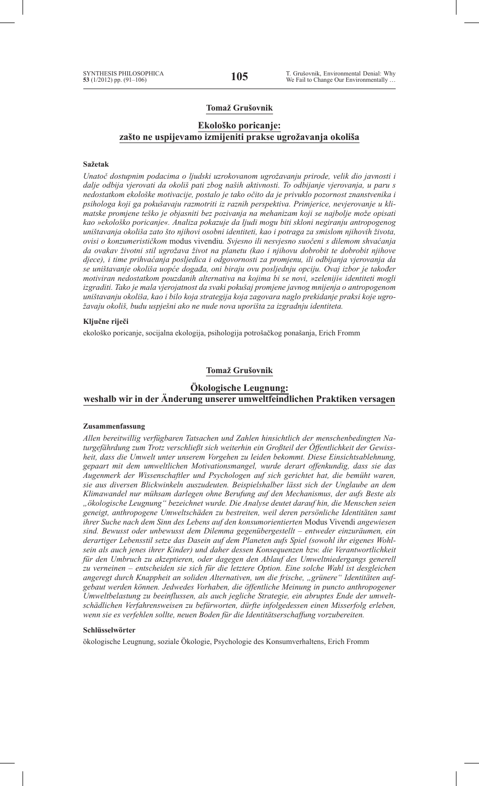### **Tomaž Grušovnik**

### **Ekološko poricanje: zašto ne uspijevamo izmijeniti prakse ugrožavanja okoliša**

#### **Sažetak**

*Unatoč dostupnim podacima o ljudski uzrokovanom ugrožavanju prirode, velik dio javnosti i dalje odbija vjerovati da okoliš pati zbog naših aktivnosti. To odbijanje vjerovanja, u paru s nedostatkom ekološke motivacije, postalo je tako očito da je privuklo pozornost znanstvenika i psihologa koji ga pokušavaju razmotriti iz raznih perspektiva. Primjerice, nevjerovanje u klimatske promjene teško je objasniti bez pozivanja na mehanizam koji se najbolje može opisati kao »ekološko poricanje«. Analiza pokazuje da ljudi mogu biti skloni negiranju antropogenog uništavanja okoliša zato što njihovi osobni identiteti, kao i potraga za smislom njihovih života, ovisi o konzumerističkom* modus vivendiu*. Svjesno ili nesvjesno suočeni s dilemom shvaćanja da ovakav životni stil ugrožava život na planetu (kao i njihovu dobrobit te dobrobit njihove djece), i time prihvaćanja posljedica i odgovornosti za promjenu, ili odbijanja vjerovanja da se uništavanje okoliša uopće događa, oni biraju ovu posljednju opciju. Ovaj izbor je također motiviran nedostatkom pouzdanih alternativa na kojima bi se novi, »zeleniji« identiteti mogli izgraditi. Tako je mala vjerojatnost da svaki pokušaj promjene javnog mnijenja o antropogenom uništavanju okoliša, kao i bilo koja strategija koja zagovara naglo prekidanje praksi koje ugrožavaju okoliš, budu uspješni ako ne nude nova uporišta za izgradnju identiteta.*

#### **Ključne riječi**

ekološko poricanje, socijalna ekologija, psihologija potrošačkog ponašanja, Erich Fromm

### **Tomaž Grušovnik**

## **Ökologische Leugnung: weshalb wir in der Änderung unserer umweltfeindlichen Praktiken versagen**

#### **Zusammenfassung**

*Allen bereitwillig verfügbaren Tatsachen und Zahlen hinsichtlich der menschenbedingten Naturgefährdung zum Trotz verschließt sich weiterhin ein Großteil der Öffentlichkeit der Gewissheit, dass die Umwelt unter unserem Vorgehen zu leiden bekommt. Diese Einsichtsablehnung, gepaart mit dem umweltlichen Motivationsmangel, wurde derart offenkundig, dass sie das Augenmerk der Wissenschaftler und Psychologen auf sich gerichtet hat, die bemüht waren, sie aus diversen Blickwinkeln auszudeuten. Beispielshalber lässt sich der Unglaube an dem Klimawandel nur mühsam darlegen ohne Berufung auf den Mechanismus, der aufs Beste als "ökologische Leugnung" bezeichnet wurde. Die Analyse deutet darauf hin, die Menschen seien geneigt, anthropogene Umweltschäden zu bestreiten, weil deren persönliche Identitäten samt ihrer Suche nach dem Sinn des Lebens auf den konsumorientierten* Modus Vivendi *angewiesen sind. Bewusst oder unbewusst dem Dilemma gegenübergestellt – entweder einzuräumen, ein derartiger Lebensstil setze das Dasein auf dem Planeten aufs Spiel (sowohl ihr eigenes Wohlsein als auch jenes ihrer Kinder) und daher dessen Konsequenzen bzw. die Verantwortlichkeit für den Umbruch zu akzeptieren, oder dagegen den Ablauf des Umweltniedergangs generell zu verneinen – entscheiden sie sich für die letztere Option. Eine solche Wahl ist desgleichen angeregt durch Knappheit an soliden Alternativen, um die frische, "grünere" Identitäten aufgebaut werden können. Jedwedes Vorhaben, die öffentliche Meinung in puncto anthropogener Umweltbelastung zu beeinflussen, als auch jegliche Strategie, ein abruptes Ende der umweltschädlichen Verfahrensweisen zu befürworten, dürfte infolgedessen einen Misserfolg erleben, wenn sie es verfehlen sollte, neuen Boden für die Identitätserschaffung vorzubereiten.*

#### **Schlüsselwörter**

ökologische Leugnung, soziale Ökologie, Psychologie des Konsumverhaltens, Erich Fromm